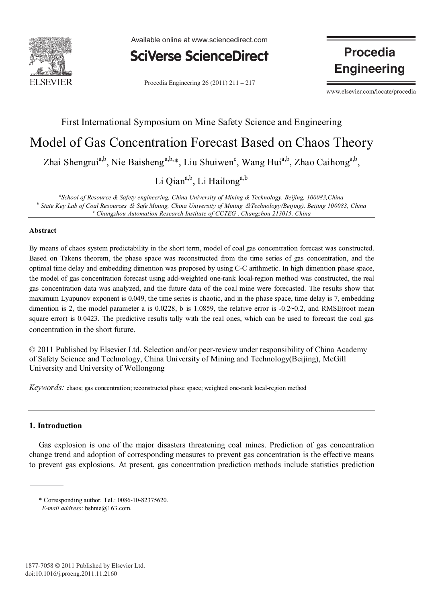

Available online at www.sciencedirect.com



Procedia Engineering  $26(2011)$   $211 - 217$ 

**Procedia Engineering** 

www.elsevier.com/locate/procedia

# First International Symposium on Mine Safety Science and Engineering Model of Gas Concentration Forecast Based on Chaos Theory Zhai Shengrui<sup>a,b</sup>, Nie Baisheng<sup>a,b,\*</sup>, Liu Shuiwen<sup>c</sup>, Wang Hui<sup>a,b</sup>, Zhao Caihong<sup>a,b</sup>,

Li Qian<sup>a,b</sup>, Li Hailong<sup>a,b</sup>

*a School of Resource & Safety engineering, China University of Mining & Technology, Beijing, 100083,China <sup>b</sup> State Key Lab of Coal Resources* & *Safe Mining, China University of Mining* &*Technology(Beijing), Beijing 100083, China <sup>c</sup> Changzhou Automation Research Institute of CCTEG , Changzhou 213015, China*

### **Abstract**

By means of chaos system predictability in the short term, model of coal gas concentration forecast was constructed. Based on Takens theorem, the phase space was reconstructed from the time series of gas concentration, and the optimal time delay and embedding dimention was proposed by using C-C arithmetic. In high dimention phase space, the model of gas concentration forecast using add-weighted one-rank local-region method was constructed, the real gas concentration data was analyzed, and the future data of the coal mine were forecasted. The results show that maximum Lyapunov exponent is 0.049, the time series is chaotic, and in the phase space, time delay is 7, embedding dimention is 2, the model parameter a is  $0.0228$ , b is 1.0859, the relative error is  $-0.2 \sim 0.2$ , and RMSE(root mean square error) is 0.0423. The predictive results tally with the real ones, which can be used to forecast the coal gas concentration in the short future.

© 2011 Published by Elsevier Ltd. Selection and/or peer-review under responsibility of China Academy of Safety Science and Technology, China University of Mining and Technology(Beijing), McGill University and University of Wollongong

*Keywords:* chaos; gas concentration; reconstructed phase space; weighted one-rank local-region method

## **1. Introduction**

Gas explosion is one of the major disasters threatening coal mines. Prediction of gas concentration change trend and adoption of corresponding measures to prevent gas concentration is the effective means to prevent gas explosions. At present, gas concentration prediction methods include statistics prediction

<sup>\*</sup> Corresponding author. Tel.: 0086-10-82375620.

*E-mail address*: bshnie@163.com.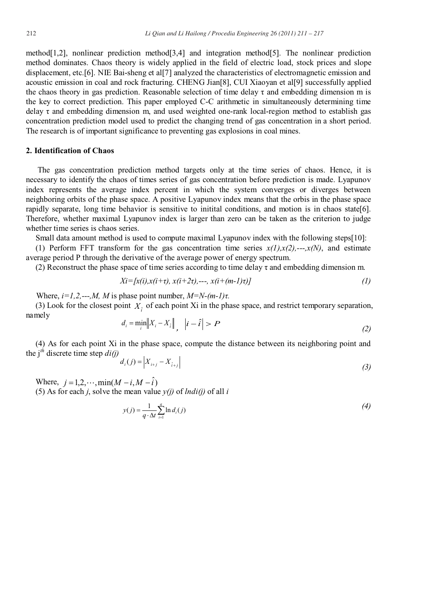method[1,2], nonlinear prediction method[3,4] and integration method[5]. The nonlinear prediction method dominates. Chaos theory is widely applied in the field of electric load, stock prices and slope displacement, etc.[6]. NIE Bai-sheng et al[7] analyzed the characteristics of electromagnetic emission and acoustic emission in coal and rock fracturing. CHENG Jian[8], CUI Xiaoyan et al[9] successfully applied the chaos theory in gas prediction. Reasonable selection of time delay  $\tau$  and embedding dimension m is the key to correct prediction. This paper employed C-C arithmetic in simultaneously determining time delay  $\tau$  and embedding dimension m, and used weighted one-rank local-region method to establish gas concentration prediction model used to predict the changing trend of gas concentration in a short period. The research is of important significance to preventing gas explosions in coal mines.

#### **2. Identification of Chaos**

The gas concentration prediction method targets only at the time series of chaos. Hence, it is necessary to identify the chaos of times series of gas concentration before prediction is made. Lyapunov index represents the average index percent in which the system converges or diverges between neighboring orbits of the phase space. A positive Lyapunov index means that the orbis in the phase space rapidly separate, long time behavior is sensitive to initital conditions, and motion is in chaos state[6]. Therefore, whether maximal Lyapunov index is larger than zero can be taken as the criterion to judge whether time series is chaos series.

Small data amount method is used to compute maximal Lyapunov index with the following steps[10]: (1) Perform FFT transform for the gas concentration time series  $x(1),x(2),...,x(N)$ , and estimate average period P through the derivative of the average power of energy spectrum.

(2) Reconstruct the phase space of time series according to time delay  $\tau$  and embedding dimension m.

$$
Xi=[x(i),x(i+\tau), x(i+2\tau),--, x(i+(m-1)\tau)]
$$
\n(1)

Where,  $i=1,2,\dots,M$ , *M* is phase point number,  $M=N-(m-1)\tau$ .

(3) Look for the closest point  $X_i$  of each point Xi in the phase space, and restrict temporary separation, namely

$$
d_i = \min_i \left\| X_i - X_i \right\|_2, \quad \left| i - \hat{i} \right| > P \tag{2}
$$

(4) As for each point Xi in the phase space, compute the distance between its neighboring point and the j *th* discrete time step *di(j)*

$$
d_i(j) = \left| X_{i+j} - X_{i+j} \right| \tag{3}
$$

Where,  $j = 1, 2, \dots, \min(M - i, M - \hat{i})$ (5) As for each *j*, solve the mean value *y(j)* of *lndi(j)* of all *i*

$$
y(j) = \frac{1}{q \cdot \Delta t} \sum_{i=1}^{q} \ln d_i(j)
$$
\n<sup>(4)</sup>